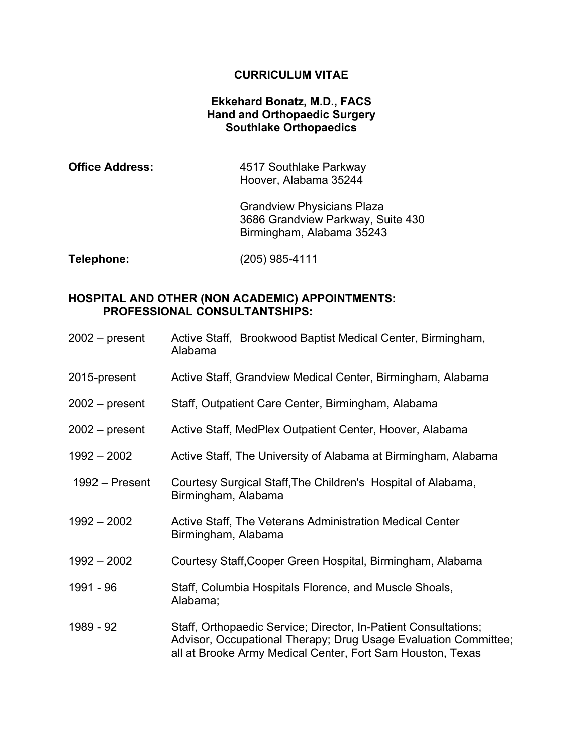#### **CURRICULUM VITAE**

### **Ekkehard Bonatz, M.D., FACS Hand and Orthopaedic Surgery Southlake Orthopaedics**

| <b>Office Address:</b> | 4517 Southlake Parkway |
|------------------------|------------------------|
|                        | Hoover, Alabama 35244  |

Grandview Physicians Plaza 3686 Grandview Parkway, Suite 430 Birmingham, Alabama 35243

**Telephone:** (205) 985-4111

#### **HOSPITAL AND OTHER (NON ACADEMIC) APPOINTMENTS: PROFESSIONAL CONSULTANTSHIPS:**

- 2002 present Active Staff, Brookwood Baptist Medical Center, Birmingham, Alabama
- 2015-present Active Staff, Grandview Medical Center, Birmingham, Alabama
- 2002 present Staff, Outpatient Care Center, Birmingham, Alabama
- 2002 present Active Staff, MedPlex Outpatient Center, Hoover, Alabama
- 1992 2002 Active Staff, The University of Alabama at Birmingham, Alabama
- 1992 Present Courtesy Surgical Staff,The Children's Hospital of Alabama, Birmingham, Alabama
- 1992 2002 Active Staff, The Veterans Administration Medical Center Birmingham, Alabama
- 1992 2002 Courtesy Staff,Cooper Green Hospital, Birmingham, Alabama
- 1991 96 Staff, Columbia Hospitals Florence, and Muscle Shoals, Alabama;
- 1989 92 Staff, Orthopaedic Service; Director, In-Patient Consultations; Advisor, Occupational Therapy; Drug Usage Evaluation Committee; all at Brooke Army Medical Center, Fort Sam Houston, Texas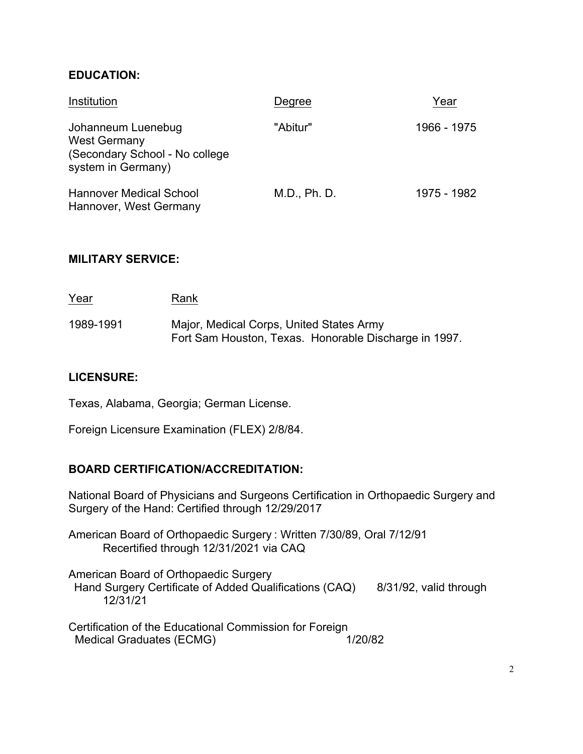### **EDUCATION:**

| Institution                                                                                       | Degree       | Year        |
|---------------------------------------------------------------------------------------------------|--------------|-------------|
| Johanneum Luenebug<br><b>West Germany</b><br>(Secondary School - No college<br>system in Germany) | "Abitur"     | 1966 - 1975 |
| <b>Hannover Medical School</b><br>Hannover, West Germany                                          | M.D., Ph. D. | 1975 - 1982 |

#### **MILITARY SERVICE:**

| <u>Year</u> | Rank                                                                                              |
|-------------|---------------------------------------------------------------------------------------------------|
| 1989-1991   | Major, Medical Corps, United States Army<br>Fort Sam Houston, Texas. Honorable Discharge in 1997. |

#### **LICENSURE:**

Texas, Alabama, Georgia; German License.

Foreign Licensure Examination (FLEX) 2/8/84.

#### **BOARD CERTIFICATION/ACCREDITATION:**

National Board of Physicians and Surgeons Certification in Orthopaedic Surgery and Surgery of the Hand: Certified through 12/29/2017

American Board of Orthopaedic Surgery : Written 7/30/89, Oral 7/12/91 Recertified through 12/31/2021 via CAQ

American Board of Orthopaedic Surgery Hand Surgery Certificate of Added Qualifications (CAQ) 8/31/92, valid through 12/31/21

Certification of the Educational Commission for Foreign Medical Graduates (ECMG) 1/20/82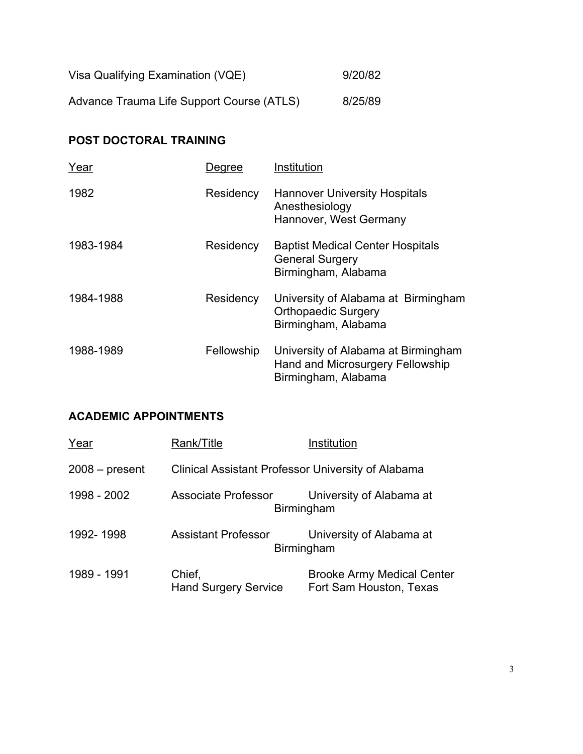| Visa Qualifying Examination (VQE)         | 9/20/82 |
|-------------------------------------------|---------|
| Advance Trauma Life Support Course (ATLS) | 8/25/89 |

# **POST DOCTORAL TRAINING**

| Year      | Degree     | Institution                                                                                    |
|-----------|------------|------------------------------------------------------------------------------------------------|
| 1982      | Residency  | <b>Hannover University Hospitals</b><br>Anesthesiology<br>Hannover, West Germany               |
| 1983-1984 | Residency  | <b>Baptist Medical Center Hospitals</b><br><b>General Surgery</b><br>Birmingham, Alabama       |
| 1984-1988 | Residency  | University of Alabama at Birmingham<br><b>Orthopaedic Surgery</b><br>Birmingham, Alabama       |
| 1988-1989 | Fellowship | University of Alabama at Birmingham<br>Hand and Microsurgery Fellowship<br>Birmingham, Alabama |

# **ACADEMIC APPOINTMENTS**

| Year             | Rank/Title                                                | Institution                                                  |
|------------------|-----------------------------------------------------------|--------------------------------------------------------------|
| $2008 - present$ | <b>Clinical Assistant Professor University of Alabama</b> |                                                              |
| 1998 - 2002      | <b>Associate Professor</b>                                | University of Alabama at<br>Birmingham                       |
| 1992-1998        | <b>Assistant Professor</b>                                | University of Alabama at<br>Birmingham                       |
| 1989 - 1991      | Chief,<br><b>Hand Surgery Service</b>                     | <b>Brooke Army Medical Center</b><br>Fort Sam Houston, Texas |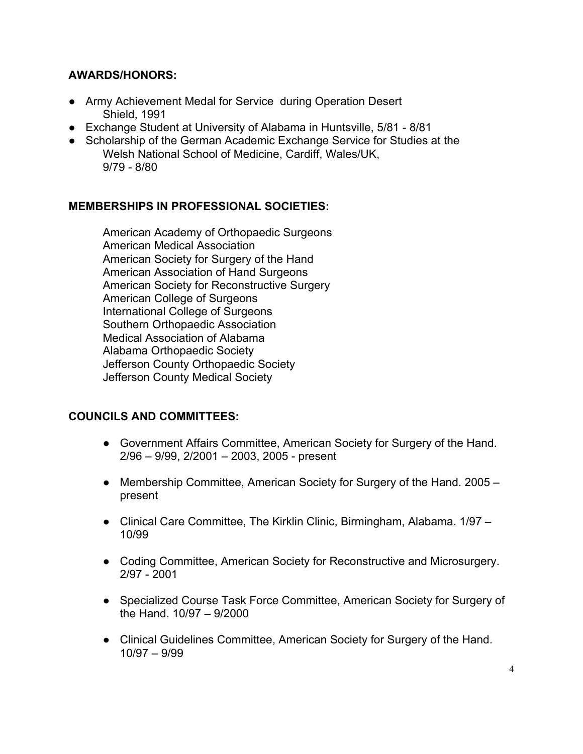# **AWARDS/HONORS:**

- Army Achievement Medal for Service during Operation Desert Shield, 1991
- Exchange Student at University of Alabama in Huntsville, 5/81 8/81
- Scholarship of the German Academic Exchange Service for Studies at the Welsh National School of Medicine, Cardiff, Wales/UK, 9/79 - 8/80

# **MEMBERSHIPS IN PROFESSIONAL SOCIETIES:**

American Academy of Orthopaedic Surgeons American Medical Association American Society for Surgery of the Hand American Association of Hand Surgeons American Society for Reconstructive Surgery American College of Surgeons International College of Surgeons Southern Orthopaedic Association Medical Association of Alabama Alabama Orthopaedic Society Jefferson County Orthopaedic Society Jefferson County Medical Society

# **COUNCILS AND COMMITTEES:**

- Government Affairs Committee, American Society for Surgery of the Hand. 2/96 – 9/99, 2/2001 – 2003, 2005 - present
- Membership Committee, American Society for Surgery of the Hand. 2005 present
- Clinical Care Committee, The Kirklin Clinic, Birmingham, Alabama. 1/97 10/99
- Coding Committee, American Society for Reconstructive and Microsurgery. 2/97 - 2001
- Specialized Course Task Force Committee, American Society for Surgery of the Hand. 10/97 – 9/2000
- Clinical Guidelines Committee, American Society for Surgery of the Hand. 10/97 – 9/99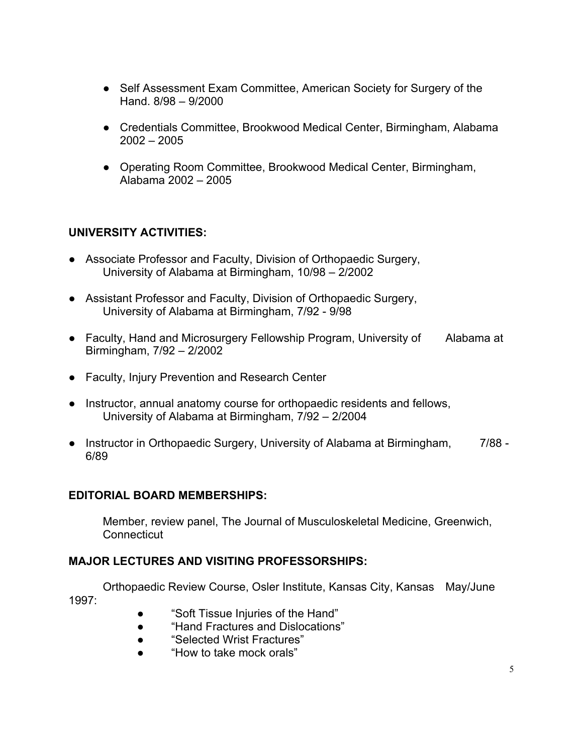- Self Assessment Exam Committee, American Society for Surgery of the Hand. 8/98 – 9/2000
- Credentials Committee, Brookwood Medical Center, Birmingham, Alabama 2002 – 2005
- Operating Room Committee, Brookwood Medical Center, Birmingham, Alabama 2002 – 2005

# **UNIVERSITY ACTIVITIES:**

- Associate Professor and Faculty, Division of Orthopaedic Surgery, University of Alabama at Birmingham, 10/98 – 2/2002
- Assistant Professor and Faculty, Division of Orthopaedic Surgery, University of Alabama at Birmingham, 7/92 - 9/98
- Faculty, Hand and Microsurgery Fellowship Program, University of Alabama at Birmingham, 7/92 – 2/2002
- Faculty, Injury Prevention and Research Center
- Instructor, annual anatomy course for orthopaedic residents and fellows, University of Alabama at Birmingham, 7/92 – 2/2004
- Instructor in Orthopaedic Surgery, University of Alabama at Birmingham, 7/88 -6/89

### **EDITORIAL BOARD MEMBERSHIPS:**

Member, review panel, The Journal of Musculoskeletal Medicine, Greenwich, **Connecticut** 

### **MAJOR LECTURES AND VISITING PROFESSORSHIPS:**

Orthopaedic Review Course, Osler Institute, Kansas City, Kansas May/June 1997:

- "Soft Tissue Injuries of the Hand"
- "Hand Fractures and Dislocations"
- "Selected Wrist Fractures"
- "How to take mock orals"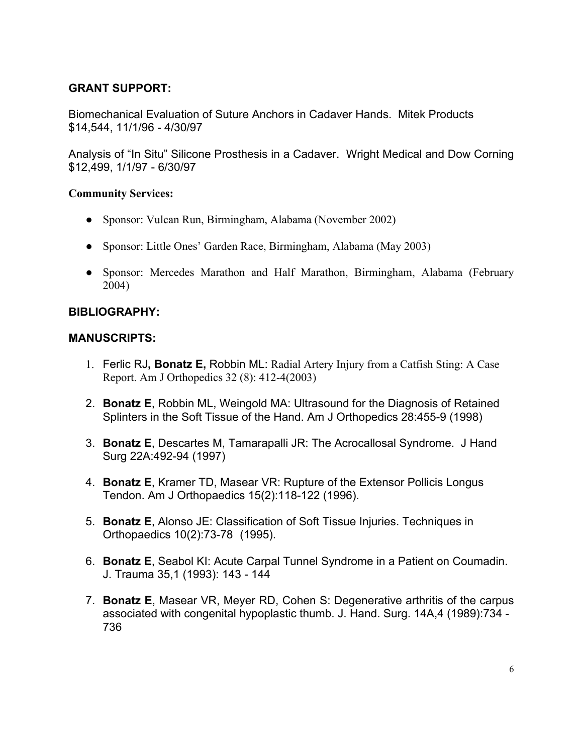# **GRANT SUPPORT:**

Biomechanical Evaluation of Suture Anchors in Cadaver Hands. Mitek Products \$14,544, 11/1/96 - 4/30/97

Analysis of "In Situ" Silicone Prosthesis in a Cadaver. Wright Medical and Dow Corning \$12,499, 1/1/97 - 6/30/97

#### **Community Services:**

- Sponsor: Vulcan Run, Birmingham, Alabama (November 2002)
- Sponsor: Little Ones' Garden Race, Birmingham, Alabama (May 2003)
- Sponsor: Mercedes Marathon and Half Marathon, Birmingham, Alabama (February 2004)

## **BIBLIOGRAPHY:**

### **MANUSCRIPTS:**

- 1. Ferlic RJ**, Bonatz E,** Robbin ML: Radial Artery Injury from a Catfish Sting: A Case Report. Am J Orthopedics 32 (8): 412-4(2003)
- 2. **Bonatz E**, Robbin ML, Weingold MA: Ultrasound for the Diagnosis of Retained Splinters in the Soft Tissue of the Hand. Am J Orthopedics 28:455-9 (1998)
- 3. **Bonatz E**, Descartes M, Tamarapalli JR: The Acrocallosal Syndrome. J Hand Surg 22A:492-94 (1997)
- 4. **Bonatz E**, Kramer TD, Masear VR: Rupture of the Extensor Pollicis Longus Tendon. Am J Orthopaedics 15(2):118-122 (1996).
- 5. **Bonatz E**, Alonso JE: Classification of Soft Tissue Injuries. Techniques in Orthopaedics 10(2):73-78 (1995).
- 6. **Bonatz E**, Seabol KI: Acute Carpal Tunnel Syndrome in a Patient on Coumadin. J. Trauma 35,1 (1993): 143 - 144
- 7. **Bonatz E**, Masear VR, Meyer RD, Cohen S: Degenerative arthritis of the carpus associated with congenital hypoplastic thumb. J. Hand. Surg. 14A,4 (1989):734 - 736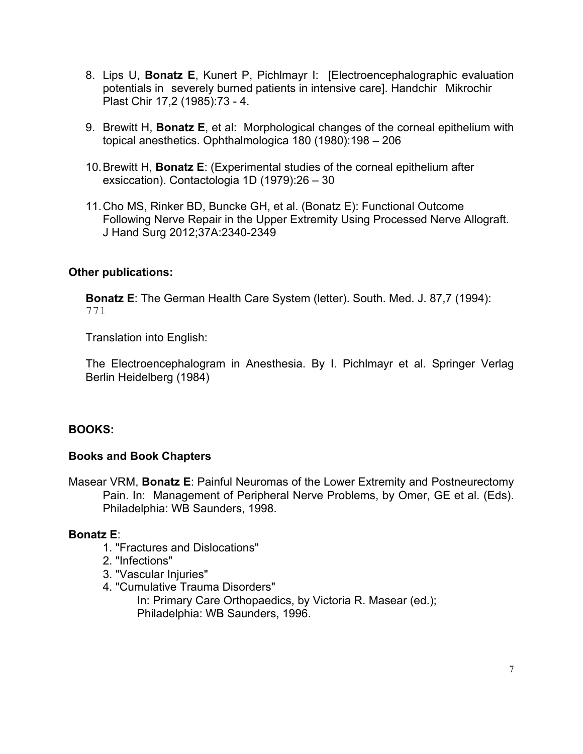- 8. Lips U, **Bonatz E**, Kunert P, Pichlmayr I: [Electroencephalographic evaluation potentials in severely burned patients in intensive care]. Handchir Mikrochir Plast Chir 17,2 (1985):73 - 4.
- 9. Brewitt H, **Bonatz E**, et al: Morphological changes of the corneal epithelium with topical anesthetics. Ophthalmologica 180 (1980):198 – 206
- 10.Brewitt H, **Bonatz E**: (Experimental studies of the corneal epithelium after exsiccation). Contactologia 1D (1979):26 – 30
- 11.Cho MS, Rinker BD, Buncke GH, et al. (Bonatz E): Functional Outcome Following Nerve Repair in the Upper Extremity Using Processed Nerve Allograft. J Hand Surg 2012;37A:2340-2349

## **Other publications:**

**Bonatz E**: The German Health Care System (letter). South. Med. J. 87,7 (1994): 771

Translation into English:

The Electroencephalogram in Anesthesia. By I. Pichlmayr et al. Springer Verlag Berlin Heidelberg (1984)

# **BOOKS:**

### **Books and Book Chapters**

Masear VRM, **Bonatz E**: Painful Neuromas of the Lower Extremity and Postneurectomy Pain. In: Management of Peripheral Nerve Problems, by Omer, GE et al. (Eds). Philadelphia: WB Saunders, 1998.

### **Bonatz E**:

- 1. "Fractures and Dislocations"
- 2. "Infections"
- 3. "Vascular Injuries"
- 4. "Cumulative Trauma Disorders" In: Primary Care Orthopaedics, by Victoria R. Masear (ed.); Philadelphia: WB Saunders, 1996.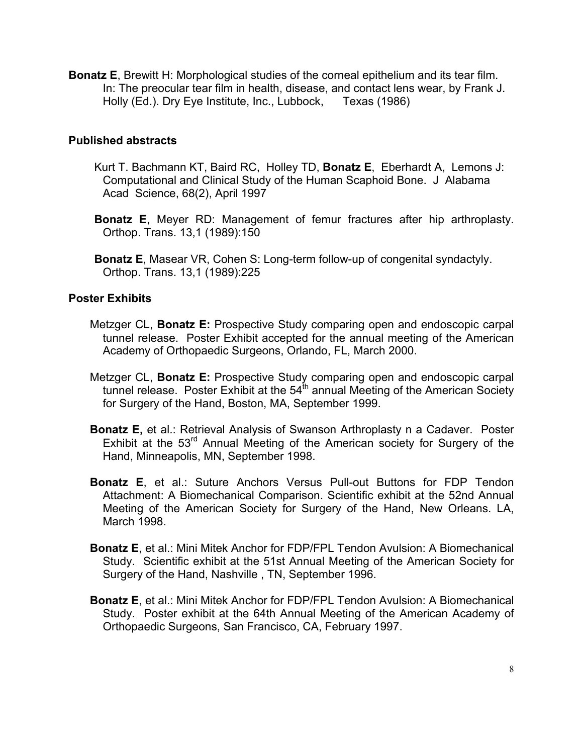**Bonatz E**, Brewitt H: Morphological studies of the corneal epithelium and its tear film. In: The preocular tear film in health, disease, and contact lens wear, by Frank J. Holly (Ed.). Dry Eye Institute, Inc., Lubbock, Texas (1986)

### **Published abstracts**

- Kurt T. Bachmann KT, Baird RC, Holley TD, **Bonatz E**, Eberhardt A, Lemons J: Computational and Clinical Study of the Human Scaphoid Bone. J Alabama Acad Science, 68(2), April 1997
- **Bonatz E**, Meyer RD: Management of femur fractures after hip arthroplasty. Orthop. Trans. 13,1 (1989):150
- **Bonatz E**, Masear VR, Cohen S: Long-term follow-up of congenital syndactyly. Orthop. Trans. 13,1 (1989):225

## **Poster Exhibits**

- Metzger CL, **Bonatz E:** Prospective Study comparing open and endoscopic carpal tunnel release. Poster Exhibit accepted for the annual meeting of the American Academy of Orthopaedic Surgeons, Orlando, FL, March 2000.
- Metzger CL, **Bonatz E:** Prospective Study comparing open and endoscopic carpal tunnel release. Poster Exhibit at the  $54<sup>th</sup>$  annual Meeting of the American Society for Surgery of the Hand, Boston, MA, September 1999.
- **Bonatz E,** et al.: Retrieval Analysis of Swanson Arthroplasty n a Cadaver. Poster Exhibit at the 53<sup>rd</sup> Annual Meeting of the American society for Surgery of the Hand, Minneapolis, MN, September 1998.
- **Bonatz E**, et al.: Suture Anchors Versus Pull-out Buttons for FDP Tendon Attachment: A Biomechanical Comparison. Scientific exhibit at the 52nd Annual Meeting of the American Society for Surgery of the Hand, New Orleans. LA, March 1998.
- **Bonatz E**, et al.: Mini Mitek Anchor for FDP/FPL Tendon Avulsion: A Biomechanical Study. Scientific exhibit at the 51st Annual Meeting of the American Society for Surgery of the Hand, Nashville , TN, September 1996.
- **Bonatz E**, et al.: Mini Mitek Anchor for FDP/FPL Tendon Avulsion: A Biomechanical Study. Poster exhibit at the 64th Annual Meeting of the American Academy of Orthopaedic Surgeons, San Francisco, CA, February 1997.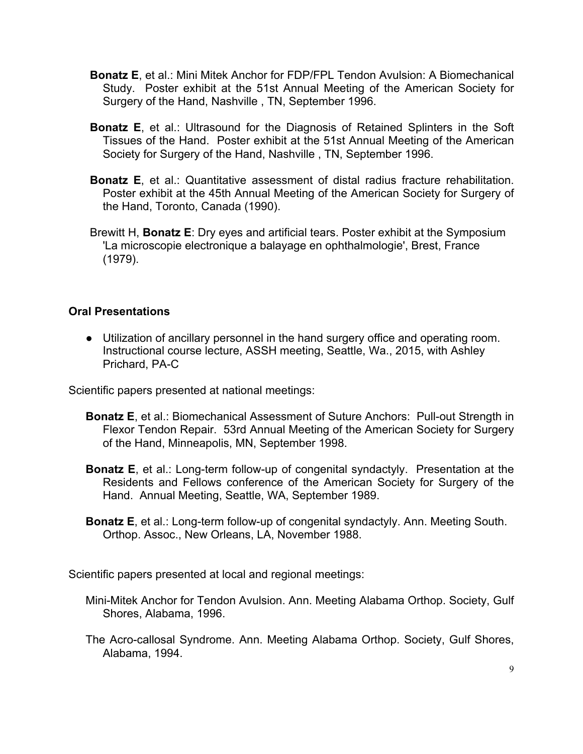- **Bonatz E**, et al.: Mini Mitek Anchor for FDP/FPL Tendon Avulsion: A Biomechanical Study. Poster exhibit at the 51st Annual Meeting of the American Society for Surgery of the Hand, Nashville , TN, September 1996.
- **Bonatz E**, et al.: Ultrasound for the Diagnosis of Retained Splinters in the Soft Tissues of the Hand. Poster exhibit at the 51st Annual Meeting of the American Society for Surgery of the Hand, Nashville , TN, September 1996.
- **Bonatz E**, et al.: Quantitative assessment of distal radius fracture rehabilitation. Poster exhibit at the 45th Annual Meeting of the American Society for Surgery of the Hand, Toronto, Canada (1990).
- Brewitt H, **Bonatz E**: Dry eyes and artificial tears. Poster exhibit at the Symposium 'La microscopie electronique a balayage en ophthalmologie', Brest, France (1979).

## **Oral Presentations**

● Utilization of ancillary personnel in the hand surgery office and operating room. Instructional course lecture, ASSH meeting, Seattle, Wa., 2015, with Ashley Prichard, PA-C

Scientific papers presented at national meetings:

- **Bonatz E**, et al.: Biomechanical Assessment of Suture Anchors: Pull-out Strength in Flexor Tendon Repair. 53rd Annual Meeting of the American Society for Surgery of the Hand, Minneapolis, MN, September 1998.
- **Bonatz E**, et al.: Long-term follow-up of congenital syndactyly. Presentation at the Residents and Fellows conference of the American Society for Surgery of the Hand. Annual Meeting, Seattle, WA, September 1989.
- **Bonatz E**, et al.: Long-term follow-up of congenital syndactyly. Ann. Meeting South. Orthop. Assoc., New Orleans, LA, November 1988.

Scientific papers presented at local and regional meetings:

- Mini-Mitek Anchor for Tendon Avulsion. Ann. Meeting Alabama Orthop. Society, Gulf Shores, Alabama, 1996.
- The Acro-callosal Syndrome. Ann. Meeting Alabama Orthop. Society, Gulf Shores, Alabama, 1994.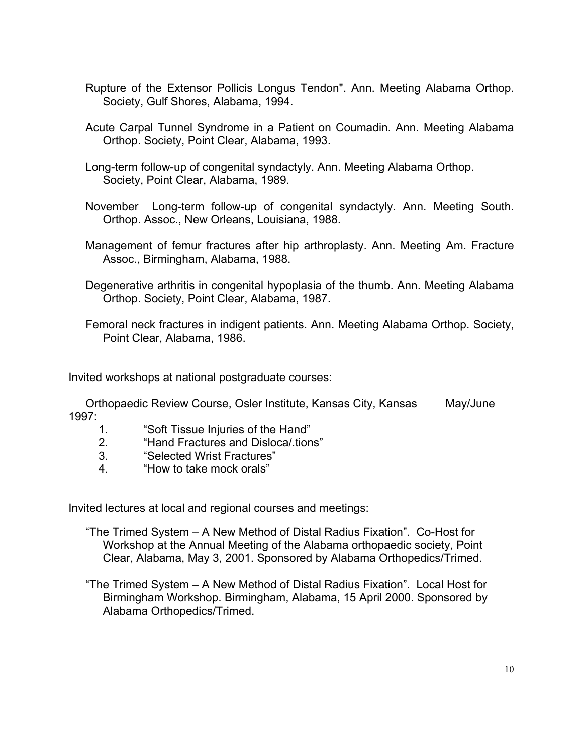- Rupture of the Extensor Pollicis Longus Tendon". Ann. Meeting Alabama Orthop. Society, Gulf Shores, Alabama, 1994.
- Acute Carpal Tunnel Syndrome in a Patient on Coumadin. Ann. Meeting Alabama Orthop. Society, Point Clear, Alabama, 1993.
- Long-term follow-up of congenital syndactyly. Ann. Meeting Alabama Orthop. Society, Point Clear, Alabama, 1989.
- November Long-term follow-up of congenital syndactyly. Ann. Meeting South. Orthop. Assoc., New Orleans, Louisiana, 1988.
- Management of femur fractures after hip arthroplasty. Ann. Meeting Am. Fracture Assoc., Birmingham, Alabama, 1988.
- Degenerative arthritis in congenital hypoplasia of the thumb. Ann. Meeting Alabama Orthop. Society, Point Clear, Alabama, 1987.
- Femoral neck fractures in indigent patients. Ann. Meeting Alabama Orthop. Society, Point Clear, Alabama, 1986.

Invited workshops at national postgraduate courses:

Orthopaedic Review Course, Osler Institute, Kansas City, Kansas May/June 1997:

- 1. "Soft Tissue Injuries of the Hand"
- 2. "Hand Fractures and Disloca/.tions"
- 3. "Selected Wrist Fractures"
- 4. "How to take mock orals"

Invited lectures at local and regional courses and meetings:

- "The Trimed System A New Method of Distal Radius Fixation". Co-Host for Workshop at the Annual Meeting of the Alabama orthopaedic society, Point Clear, Alabama, May 3, 2001. Sponsored by Alabama Orthopedics/Trimed.
- "The Trimed System A New Method of Distal Radius Fixation". Local Host for Birmingham Workshop. Birmingham, Alabama, 15 April 2000. Sponsored by Alabama Orthopedics/Trimed.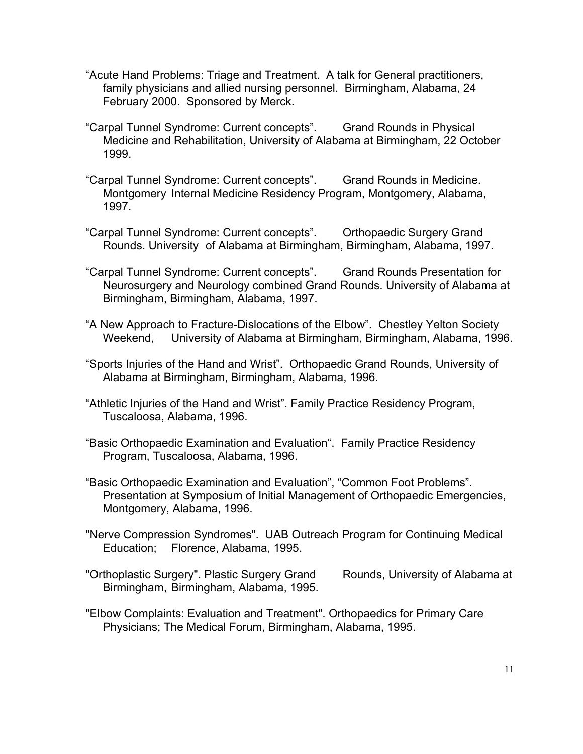- "Acute Hand Problems: Triage and Treatment. A talk for General practitioners, family physicians and allied nursing personnel. Birmingham, Alabama, 24 February 2000. Sponsored by Merck.
- "Carpal Tunnel Syndrome: Current concepts". Grand Rounds in Physical Medicine and Rehabilitation, University of Alabama at Birmingham, 22 October 1999.
- "Carpal Tunnel Syndrome: Current concepts". Grand Rounds in Medicine. Montgomery Internal Medicine Residency Program, Montgomery, Alabama, 1997.
- "Carpal Tunnel Syndrome: Current concepts". Orthopaedic Surgery Grand Rounds. University of Alabama at Birmingham, Birmingham, Alabama, 1997.
- "Carpal Tunnel Syndrome: Current concepts". Grand Rounds Presentation for Neurosurgery and Neurology combined Grand Rounds. University of Alabama at Birmingham, Birmingham, Alabama, 1997.
- "A New Approach to Fracture-Dislocations of the Elbow". Chestley Yelton Society Weekend, University of Alabama at Birmingham, Birmingham, Alabama, 1996.
- "Sports Injuries of the Hand and Wrist". Orthopaedic Grand Rounds, University of Alabama at Birmingham, Birmingham, Alabama, 1996.
- "Athletic Injuries of the Hand and Wrist". Family Practice Residency Program, Tuscaloosa, Alabama, 1996.
- "Basic Orthopaedic Examination and Evaluation". Family Practice Residency Program, Tuscaloosa, Alabama, 1996.
- "Basic Orthopaedic Examination and Evaluation", "Common Foot Problems". Presentation at Symposium of Initial Management of Orthopaedic Emergencies, Montgomery, Alabama, 1996.
- "Nerve Compression Syndromes". UAB Outreach Program for Continuing Medical Education; Florence, Alabama, 1995.
- "Orthoplastic Surgery". Plastic Surgery Grand Rounds, University of Alabama at Birmingham, Birmingham, Alabama, 1995.
- "Elbow Complaints: Evaluation and Treatment". Orthopaedics for Primary Care Physicians; The Medical Forum, Birmingham, Alabama, 1995.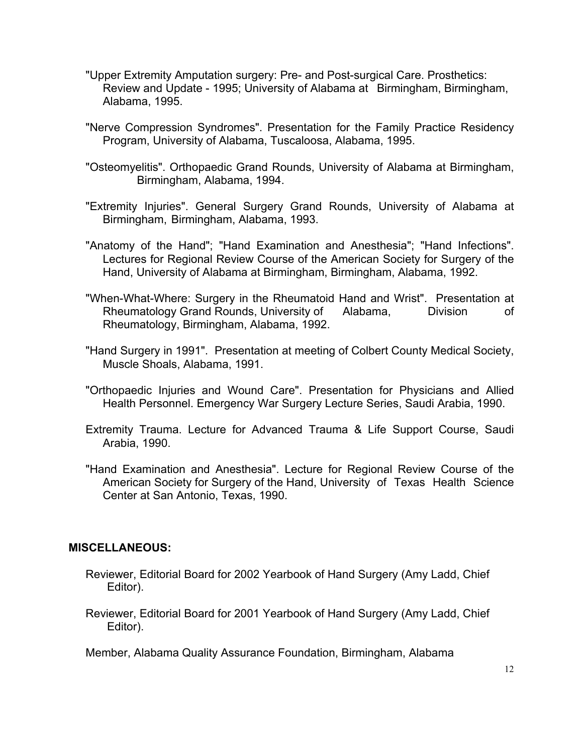- "Upper Extremity Amputation surgery: Pre- and Post-surgical Care. Prosthetics: Review and Update - 1995; University of Alabama at Birmingham, Birmingham, Alabama, 1995.
- "Nerve Compression Syndromes". Presentation for the Family Practice Residency Program, University of Alabama, Tuscaloosa, Alabama, 1995.
- "Osteomyelitis". Orthopaedic Grand Rounds, University of Alabama at Birmingham, Birmingham, Alabama, 1994.
- "Extremity Injuries". General Surgery Grand Rounds, University of Alabama at Birmingham, Birmingham, Alabama, 1993.
- "Anatomy of the Hand"; "Hand Examination and Anesthesia"; "Hand Infections". Lectures for Regional Review Course of the American Society for Surgery of the Hand, University of Alabama at Birmingham, Birmingham, Alabama, 1992.
- "When-What-Where: Surgery in the Rheumatoid Hand and Wrist". Presentation at Rheumatology Grand Rounds, University of Alabama, Division of Rheumatology, Birmingham, Alabama, 1992.
- "Hand Surgery in 1991". Presentation at meeting of Colbert County Medical Society, Muscle Shoals, Alabama, 1991.
- "Orthopaedic Injuries and Wound Care". Presentation for Physicians and Allied Health Personnel. Emergency War Surgery Lecture Series, Saudi Arabia, 1990.
- Extremity Trauma. Lecture for Advanced Trauma & Life Support Course, Saudi Arabia, 1990.
- "Hand Examination and Anesthesia". Lecture for Regional Review Course of the American Society for Surgery of the Hand, University of Texas Health Science Center at San Antonio, Texas, 1990.

### **MISCELLANEOUS:**

- Reviewer, Editorial Board for 2002 Yearbook of Hand Surgery (Amy Ladd, Chief Editor).
- Reviewer, Editorial Board for 2001 Yearbook of Hand Surgery (Amy Ladd, Chief Editor).

Member, Alabama Quality Assurance Foundation, Birmingham, Alabama